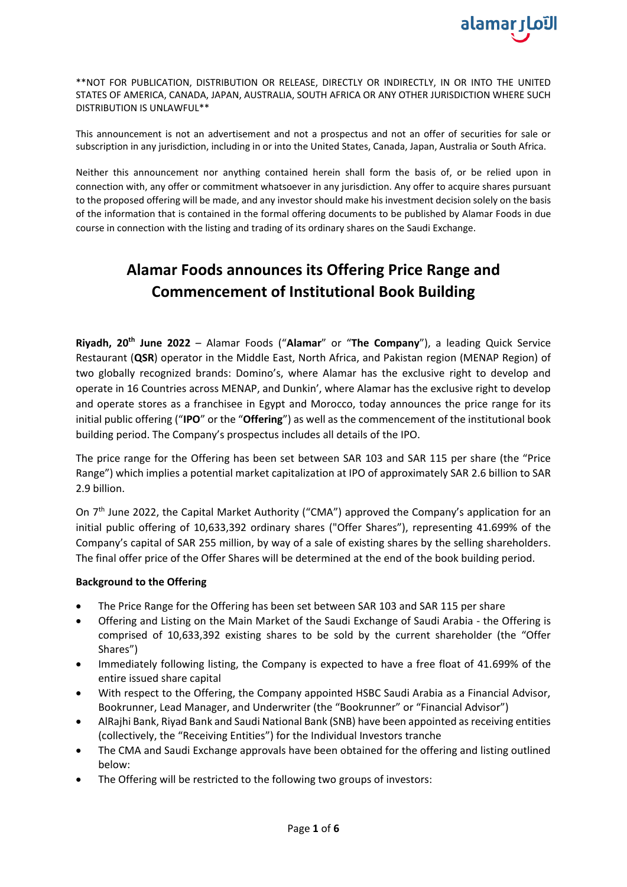

\*\*NOT FOR PUBLICATION, DISTRIBUTION OR RELEASE, DIRECTLY OR INDIRECTLY, IN OR INTO THE UNITED STATES OF AMERICA, CANADA, JAPAN, AUSTRALIA, SOUTH AFRICA OR ANY OTHER JURISDICTION WHERE SUCH DISTRIBUTION IS UNLAWFUL\*\*

This announcement is not an advertisement and not a prospectus and not an offer of securities for sale or subscription in any jurisdiction, including in or into the United States, Canada, Japan, Australia or South Africa.

Neither this announcement nor anything contained herein shall form the basis of, or be relied upon in connection with, any offer or commitment whatsoever in any jurisdiction. Any offer to acquire shares pursuant to the proposed offering will be made, and any investor should make his investment decision solely on the basis of the information that is contained in the formal offering documents to be published by Alamar Foods in due course in connection with the listing and trading of its ordinary shares on the Saudi Exchange.

# **Alamar Foods announces its Offering Price Range and Commencement of Institutional Book Building**

**Riyadh, 20th June 2022** – Alamar Foods ("**Alamar**" or "**The Company**"), a leading Quick Service Restaurant (**QSR**) operator in the Middle East, North Africa, and Pakistan region (MENAP Region) of two globally recognized brands: Domino's, where Alamar has the exclusive right to develop and operate in 16 Countries across MENAP, and Dunkin', where Alamar has the exclusive right to develop and operate stores as a franchisee in Egypt and Morocco, today announces the price range for its initial public offering ("**IPO**" or the "**Offering**") as well as the commencement of the institutional book building period. The Company's prospectus includes all details of the IPO.

The price range for the Offering has been set between SAR 103 and SAR 115 per share (the "Price Range") which implies a potential market capitalization at IPO of approximately SAR 2.6 billion to SAR 2.9 billion.

On 7<sup>th</sup> June 2022, the Capital Market Authority ("CMA") approved the Company's application for an initial public offering of 10,633,392 ordinary shares ("Offer Shares"), representing 41.699% of the Company's capital of SAR 255 million, by way of a sale of existing shares by the selling shareholders. The final offer price of the Offer Shares will be determined at the end of the book building period.

## **Background to the Offering**

- The Price Range for the Offering has been set between SAR 103 and SAR 115 per share
- Offering and Listing on the Main Market of the Saudi Exchange of Saudi Arabia the Offering is comprised of 10,633,392 existing shares to be sold by the current shareholder (the "Offer Shares")
- Immediately following listing, the Company is expected to have a free float of 41.699% of the entire issued share capital
- With respect to the Offering, the Company appointed HSBC Saudi Arabia as a Financial Advisor, Bookrunner, Lead Manager, and Underwriter (the "Bookrunner" or "Financial Advisor")
- AlRajhi Bank, Riyad Bank and Saudi National Bank (SNB) have been appointed as receiving entities (collectively, the "Receiving Entities") for the Individual Investors tranche
- The CMA and Saudi Exchange approvals have been obtained for the offering and listing outlined below:
- The Offering will be restricted to the following two groups of investors: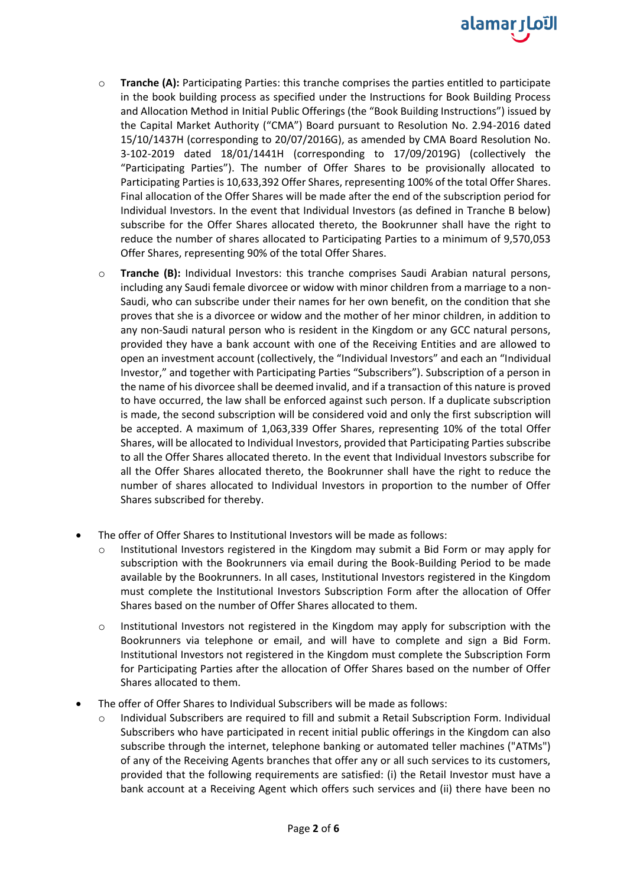

- o **Tranche (A):** Participating Parties: this tranche comprises the parties entitled to participate in the book building process as specified under the Instructions for Book Building Process and Allocation Method in Initial Public Offerings (the "Book Building Instructions") issued by the Capital Market Authority ("CMA") Board pursuant to Resolution No. 2.94-2016 dated 15/10/1437H (corresponding to 20/07/2016G), as amended by CMA Board Resolution No. 3-102-2019 dated 18/01/1441H (corresponding to 17/09/2019G) (collectively the "Participating Parties"). The number of Offer Shares to be provisionally allocated to Participating Parties is 10,633,392 Offer Shares, representing 100% of the total Offer Shares. Final allocation of the Offer Shares will be made after the end of the subscription period for Individual Investors. In the event that Individual Investors (as defined in Tranche B below) subscribe for the Offer Shares allocated thereto, the Bookrunner shall have the right to reduce the number of shares allocated to Participating Parties to a minimum of 9,570,053 Offer Shares, representing 90% of the total Offer Shares.
- o **Tranche (B):** Individual Investors: this tranche comprises Saudi Arabian natural persons, including any Saudi female divorcee or widow with minor children from a marriage to a non-Saudi, who can subscribe under their names for her own benefit, on the condition that she proves that she is a divorcee or widow and the mother of her minor children, in addition to any non-Saudi natural person who is resident in the Kingdom or any GCC natural persons, provided they have a bank account with one of the Receiving Entities and are allowed to open an investment account (collectively, the "Individual Investors" and each an "Individual Investor," and together with Participating Parties "Subscribers"). Subscription of a person in the name of his divorcee shall be deemed invalid, and if a transaction of this nature is proved to have occurred, the law shall be enforced against such person. If a duplicate subscription is made, the second subscription will be considered void and only the first subscription will be accepted. A maximum of 1,063,339 Offer Shares, representing 10% of the total Offer Shares, will be allocated to Individual Investors, provided that Participating Parties subscribe to all the Offer Shares allocated thereto. In the event that Individual Investors subscribe for all the Offer Shares allocated thereto, the Bookrunner shall have the right to reduce the number of shares allocated to Individual Investors in proportion to the number of Offer Shares subscribed for thereby.
- The offer of Offer Shares to Institutional Investors will be made as follows:
	- Institutional Investors registered in the Kingdom may submit a Bid Form or may apply for subscription with the Bookrunners via email during the Book-Building Period to be made available by the Bookrunners. In all cases, Institutional Investors registered in the Kingdom must complete the Institutional Investors Subscription Form after the allocation of Offer Shares based on the number of Offer Shares allocated to them.
	- o Institutional Investors not registered in the Kingdom may apply for subscription with the Bookrunners via telephone or email, and will have to complete and sign a Bid Form. Institutional Investors not registered in the Kingdom must complete the Subscription Form for Participating Parties after the allocation of Offer Shares based on the number of Offer Shares allocated to them.
- The offer of Offer Shares to Individual Subscribers will be made as follows:
	- Individual Subscribers are required to fill and submit a Retail Subscription Form. Individual Subscribers who have participated in recent initial public offerings in the Kingdom can also subscribe through the internet, telephone banking or automated teller machines ("ATMs") of any of the Receiving Agents branches that offer any or all such services to its customers, provided that the following requirements are satisfied: (i) the Retail Investor must have a bank account at a Receiving Agent which offers such services and (ii) there have been no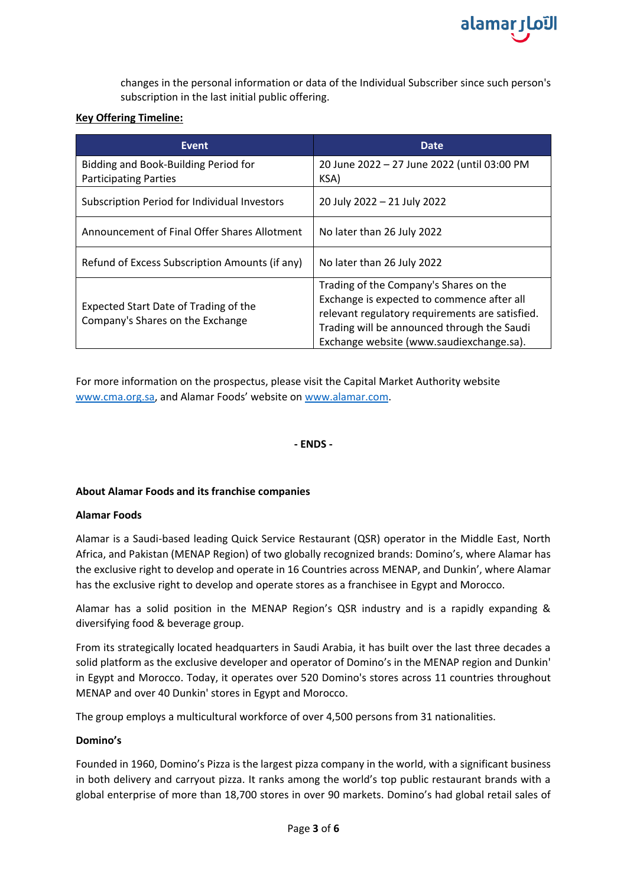

changes in the personal information or data of the Individual Subscriber since such person's subscription in the last initial public offering.

## **Key Offering Timeline:**

| <b>Event</b>                                                              | Date                                                                                                                                                                                                                               |  |
|---------------------------------------------------------------------------|------------------------------------------------------------------------------------------------------------------------------------------------------------------------------------------------------------------------------------|--|
| Bidding and Book-Building Period for<br><b>Participating Parties</b>      | 20 June 2022 - 27 June 2022 (until 03:00 PM<br>KSA)                                                                                                                                                                                |  |
| Subscription Period for Individual Investors                              | 20 July 2022 - 21 July 2022                                                                                                                                                                                                        |  |
| Announcement of Final Offer Shares Allotment                              | No later than 26 July 2022                                                                                                                                                                                                         |  |
| Refund of Excess Subscription Amounts (if any)                            | No later than 26 July 2022                                                                                                                                                                                                         |  |
| Expected Start Date of Trading of the<br>Company's Shares on the Exchange | Trading of the Company's Shares on the<br>Exchange is expected to commence after all<br>relevant regulatory requirements are satisfied.<br>Trading will be announced through the Saudi<br>Exchange website (www.saudiexchange.sa). |  |

For more information on the prospectus, please visit the Capital Market Authority website [www.cma.org.sa,](http://www.cma.org.sa/) and Alamar Foods' website on [www.alamar.com.](http://www.alamar.com/)

## **- ENDS -**

## **About Alamar Foods and its franchise companies**

#### **Alamar Foods**

Alamar is a Saudi-based leading Quick Service Restaurant (QSR) operator in the Middle East, North Africa, and Pakistan (MENAP Region) of two globally recognized brands: Domino's, where Alamar has the exclusive right to develop and operate in 16 Countries across MENAP, and Dunkin', where Alamar has the exclusive right to develop and operate stores as a franchisee in Egypt and Morocco.

Alamar has a solid position in the MENAP Region's QSR industry and is a rapidly expanding & diversifying food & beverage group.

From its strategically located headquarters in Saudi Arabia, it has built over the last three decades a solid platform as the exclusive developer and operator of Domino's in the MENAP region and Dunkin' in Egypt and Morocco. Today, it operates over 520 Domino's stores across 11 countries throughout MENAP and over 40 Dunkin' stores in Egypt and Morocco.

The group employs a multicultural workforce of over 4,500 persons from 31 nationalities.

#### **Domino's**

Founded in 1960, Domino's Pizza is the largest pizza company in the world, with a significant business in both delivery and carryout pizza. It ranks among the world's top public restaurant brands with a global enterprise of more than 18,700 stores in over 90 markets. Domino's had global retail sales of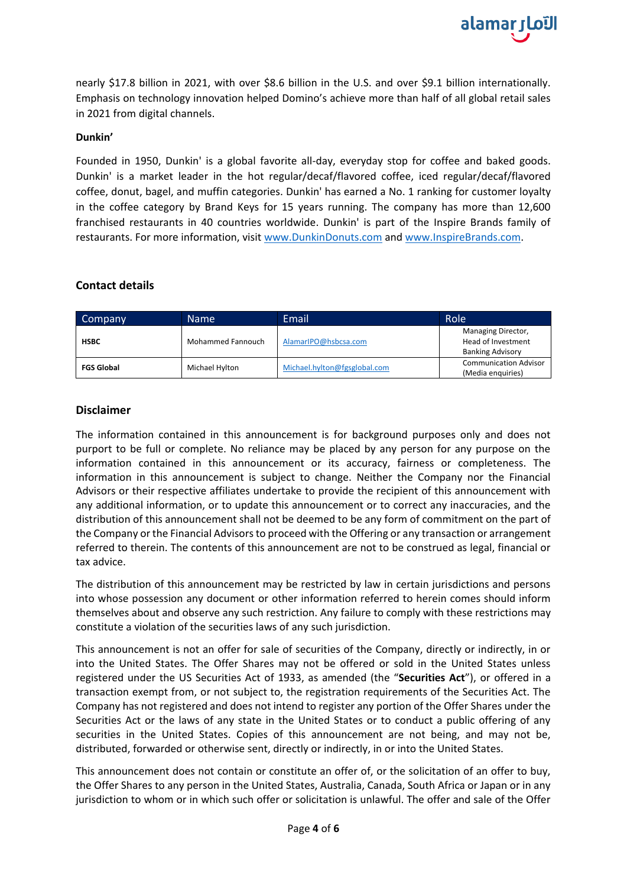nearly \$17.8 billion in 2021, with over \$8.6 billion in the U.S. and over \$9.1 billion internationally. Emphasis on technology innovation helped Domino's achieve more than half of all global retail sales in 2021 from digital channels.

## **Dunkin'**

Founded in 1950, Dunkin' is a global favorite all-day, everyday stop for coffee and baked goods. Dunkin' is a market leader in the hot regular/decaf/flavored coffee, iced regular/decaf/flavored coffee, donut, bagel, and muffin categories. Dunkin' has earned a No. 1 ranking for customer loyalty in the coffee category by Brand Keys for 15 years running. The company has more than 12,600 franchised restaurants in 40 countries worldwide. Dunkin' is part of the Inspire Brands family of restaurants. For more information, visit [www.DunkinDonuts.com](http://www.dunkindonuts.com/) and [www.InspireBrands.com.](http://www.inspirebrands.com/)

# **Contact details**

| Company           | <b>Name</b>       | Email                        | Role                                                                |
|-------------------|-------------------|------------------------------|---------------------------------------------------------------------|
| <b>HSBC</b>       | Mohammed Fannouch | AlamarIPO@hsbcsa.com         | Managing Director,<br>Head of Investment<br><b>Banking Advisory</b> |
| <b>FGS Global</b> | Michael Hylton    | Michael.hylton@fgsglobal.com | <b>Communication Advisor</b><br>(Media enquiries)                   |

# **Disclaimer**

The information contained in this announcement is for background purposes only and does not purport to be full or complete. No reliance may be placed by any person for any purpose on the information contained in this announcement or its accuracy, fairness or completeness. The information in this announcement is subject to change. Neither the Company nor the Financial Advisors or their respective affiliates undertake to provide the recipient of this announcement with any additional information, or to update this announcement or to correct any inaccuracies, and the distribution of this announcement shall not be deemed to be any form of commitment on the part of the Company or the Financial Advisors to proceed with the Offering or any transaction or arrangement referred to therein. The contents of this announcement are not to be construed as legal, financial or tax advice.

The distribution of this announcement may be restricted by law in certain jurisdictions and persons into whose possession any document or other information referred to herein comes should inform themselves about and observe any such restriction. Any failure to comply with these restrictions may constitute a violation of the securities laws of any such jurisdiction.

This announcement is not an offer for sale of securities of the Company, directly or indirectly, in or into the United States. The Offer Shares may not be offered or sold in the United States unless registered under the US Securities Act of 1933, as amended (the "**Securities Act**"), or offered in a transaction exempt from, or not subject to, the registration requirements of the Securities Act. The Company has not registered and does not intend to register any portion of the Offer Shares under the Securities Act or the laws of any state in the United States or to conduct a public offering of any securities in the United States. Copies of this announcement are not being, and may not be, distributed, forwarded or otherwise sent, directly or indirectly, in or into the United States.

This announcement does not contain or constitute an offer of, or the solicitation of an offer to buy, the Offer Shares to any person in the United States, Australia, Canada, South Africa or Japan or in any jurisdiction to whom or in which such offer or solicitation is unlawful. The offer and sale of the Offer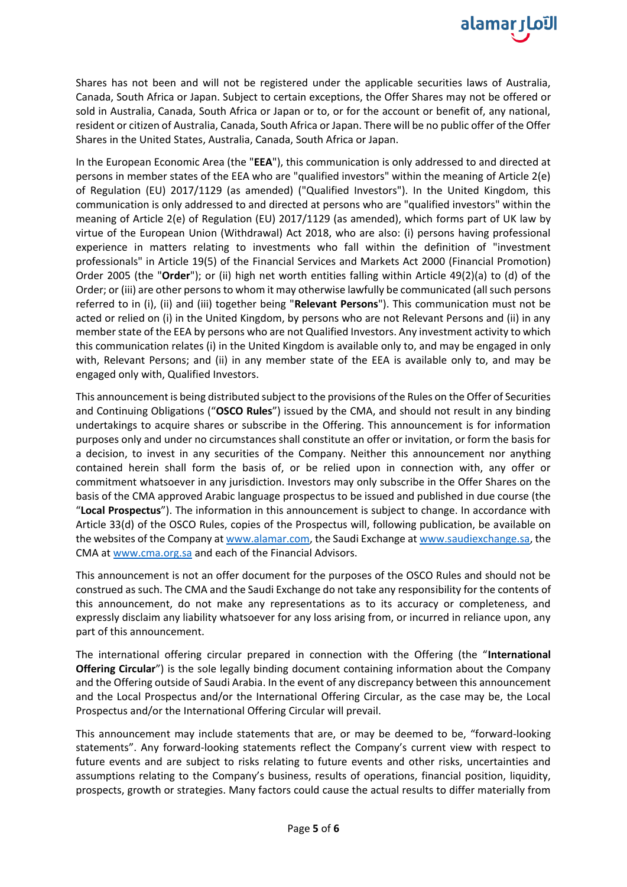

Shares has not been and will not be registered under the applicable securities laws of Australia, Canada, South Africa or Japan. Subject to certain exceptions, the Offer Shares may not be offered or sold in Australia, Canada, South Africa or Japan or to, or for the account or benefit of, any national, resident or citizen of Australia, Canada, South Africa or Japan. There will be no public offer of the Offer Shares in the United States, Australia, Canada, South Africa or Japan.

In the European Economic Area (the "**EEA**"), this communication is only addressed to and directed at persons in member states of the EEA who are "qualified investors" within the meaning of Article 2(e) of Regulation (EU) 2017/1129 (as amended) ("Qualified Investors"). In the United Kingdom, this communication is only addressed to and directed at persons who are "qualified investors" within the meaning of Article 2(e) of Regulation (EU) 2017/1129 (as amended), which forms part of UK law by virtue of the European Union (Withdrawal) Act 2018, who are also: (i) persons having professional experience in matters relating to investments who fall within the definition of "investment professionals" in Article 19(5) of the Financial Services and Markets Act 2000 (Financial Promotion) Order 2005 (the "**Order**"); or (ii) high net worth entities falling within Article 49(2)(a) to (d) of the Order; or (iii) are other persons to whom it may otherwise lawfully be communicated (all such persons referred to in (i), (ii) and (iii) together being "**Relevant Persons**"). This communication must not be acted or relied on (i) in the United Kingdom, by persons who are not Relevant Persons and (ii) in any member state of the EEA by persons who are not Qualified Investors. Any investment activity to which this communication relates (i) in the United Kingdom is available only to, and may be engaged in only with, Relevant Persons; and (ii) in any member state of the EEA is available only to, and may be engaged only with, Qualified Investors.

This announcement is being distributed subject to the provisions of the Rules on the Offer of Securities and Continuing Obligations ("**OSCO Rules**") issued by the CMA, and should not result in any binding undertakings to acquire shares or subscribe in the Offering. This announcement is for information purposes only and under no circumstances shall constitute an offer or invitation, or form the basis for a decision, to invest in any securities of the Company. Neither this announcement nor anything contained herein shall form the basis of, or be relied upon in connection with, any offer or commitment whatsoever in any jurisdiction. Investors may only subscribe in the Offer Shares on the basis of the CMA approved Arabic language prospectus to be issued and published in due course (the "**Local Prospectus**"). The information in this announcement is subject to change. In accordance with Article 33(d) of the OSCO Rules, copies of the Prospectus will, following publication, be available on the websites of the Company at [www.alamar.com,](http://www.alamar.com/) the Saudi Exchange a[t www.saudiexchange.sa,](http://www.saudiexchange.sa/) the CMA a[t www.cma.org.sa](http://www.cma.org.sa/) and each of the Financial Advisors.

This announcement is not an offer document for the purposes of the OSCO Rules and should not be construed as such. The CMA and the Saudi Exchange do not take any responsibility for the contents of this announcement, do not make any representations as to its accuracy or completeness, and expressly disclaim any liability whatsoever for any loss arising from, or incurred in reliance upon, any part of this announcement.

The international offering circular prepared in connection with the Offering (the "**International Offering Circular**") is the sole legally binding document containing information about the Company and the Offering outside of Saudi Arabia. In the event of any discrepancy between this announcement and the Local Prospectus and/or the International Offering Circular, as the case may be, the Local Prospectus and/or the International Offering Circular will prevail.

This announcement may include statements that are, or may be deemed to be, "forward-looking statements". Any forward-looking statements reflect the Company's current view with respect to future events and are subject to risks relating to future events and other risks, uncertainties and assumptions relating to the Company's business, results of operations, financial position, liquidity, prospects, growth or strategies. Many factors could cause the actual results to differ materially from